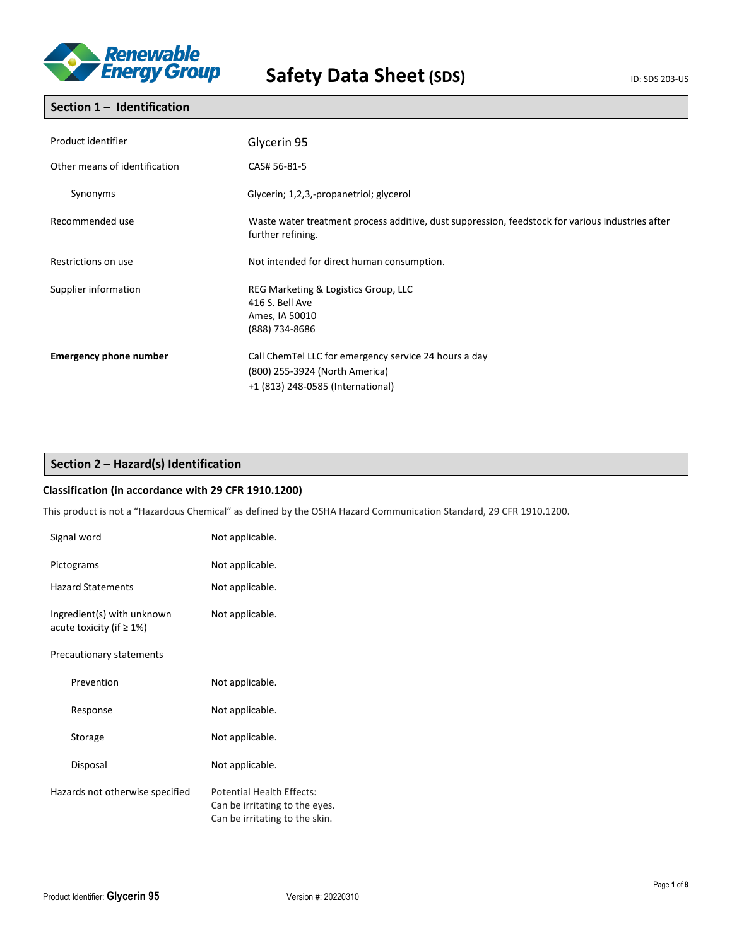

### **Section 1 – Identification**

| Product identifier            | Glycerin 95                                                                                                                  |
|-------------------------------|------------------------------------------------------------------------------------------------------------------------------|
| Other means of identification | CAS# 56-81-5                                                                                                                 |
| Synonyms                      | Glycerin; 1,2,3,-propanetriol; glycerol                                                                                      |
| Recommended use               | Waste water treatment process additive, dust suppression, feedstock for various industries after<br>further refining.        |
| Restrictions on use           | Not intended for direct human consumption.                                                                                   |
| Supplier information          | REG Marketing & Logistics Group, LLC<br>416 S. Bell Ave<br>Ames, IA 50010<br>(888) 734-8686                                  |
| <b>Emergency phone number</b> | Call ChemTel LLC for emergency service 24 hours a day<br>(800) 255-3924 (North America)<br>+1 (813) 248-0585 (International) |

### **Section 2 – Hazard(s) Identification**

### **Classification (in accordance with 29 CFR 1910.1200)**

This product is not a "Hazardous Chemical" as defined by the OSHA Hazard Communication Standard, 29 CFR 1910.1200.

| Signal word                                                   | Not applicable.                                                                               |
|---------------------------------------------------------------|-----------------------------------------------------------------------------------------------|
| Pictograms                                                    | Not applicable.                                                                               |
| <b>Hazard Statements</b>                                      | Not applicable.                                                                               |
| Ingredient(s) with unknown<br>acute toxicity (if $\geq 1\%$ ) | Not applicable.                                                                               |
| Precautionary statements                                      |                                                                                               |
| Prevention                                                    | Not applicable.                                                                               |
| Response                                                      | Not applicable.                                                                               |
| Storage                                                       | Not applicable.                                                                               |
| Disposal                                                      | Not applicable.                                                                               |
| Hazards not otherwise specified                               | Potential Health Effects:<br>Can be irritating to the eyes.<br>Can be irritating to the skin. |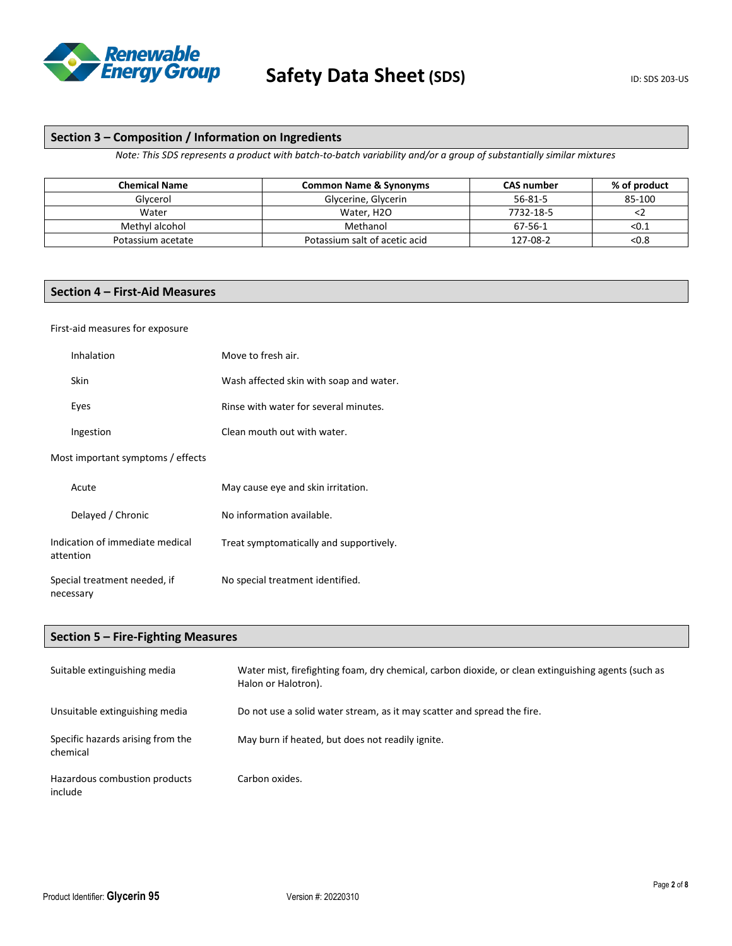

### **Section 3 – Composition / Information on Ingredients**

*Note: This SDS represents a product with batch-to-batch variability and/or a group of substantially similar mixtures*

| <b>Chemical Name</b> | <b>Common Name &amp; Synonyms</b> | <b>CAS number</b> | % of product |
|----------------------|-----------------------------------|-------------------|--------------|
| Glycerol             | Glycerine, Glycerin               | $56 - 81 - 5$     | 85-100       |
| Water                | Water, H <sub>2</sub> O           | 7732-18-5         |              |
| Methyl alcohol       | Methanol                          | 67-56-1           | < 0.1        |
| Potassium acetate    | Potassium salt of acetic acid     | 127-08-2          | < 0.8        |

### **Section 4 – First-Aid Measures**

### First-aid measures for exposure

| Inhalation                                   | Move to fresh air.                      |
|----------------------------------------------|-----------------------------------------|
| <b>Skin</b>                                  | Wash affected skin with soap and water. |
| Eyes                                         | Rinse with water for several minutes.   |
| Ingestion                                    | Clean mouth out with water.             |
| Most important symptoms / effects            |                                         |
| Acute                                        | May cause eye and skin irritation.      |
| Delayed / Chronic                            | No information available.               |
| Indication of immediate medical<br>attention | Treat symptomatically and supportively. |
| Special treatment needed, if<br>necessary    | No special treatment identified.        |

### **Section 5 – Fire-Fighting Measures**

| Suitable extinguishing media                  | Water mist, firefighting foam, dry chemical, carbon dioxide, or clean extinguishing agents (such as<br>Halon or Halotron). |
|-----------------------------------------------|----------------------------------------------------------------------------------------------------------------------------|
| Unsuitable extinguishing media                | Do not use a solid water stream, as it may scatter and spread the fire.                                                    |
| Specific hazards arising from the<br>chemical | May burn if heated, but does not readily ignite.                                                                           |
| Hazardous combustion products<br>include      | Carbon oxides.                                                                                                             |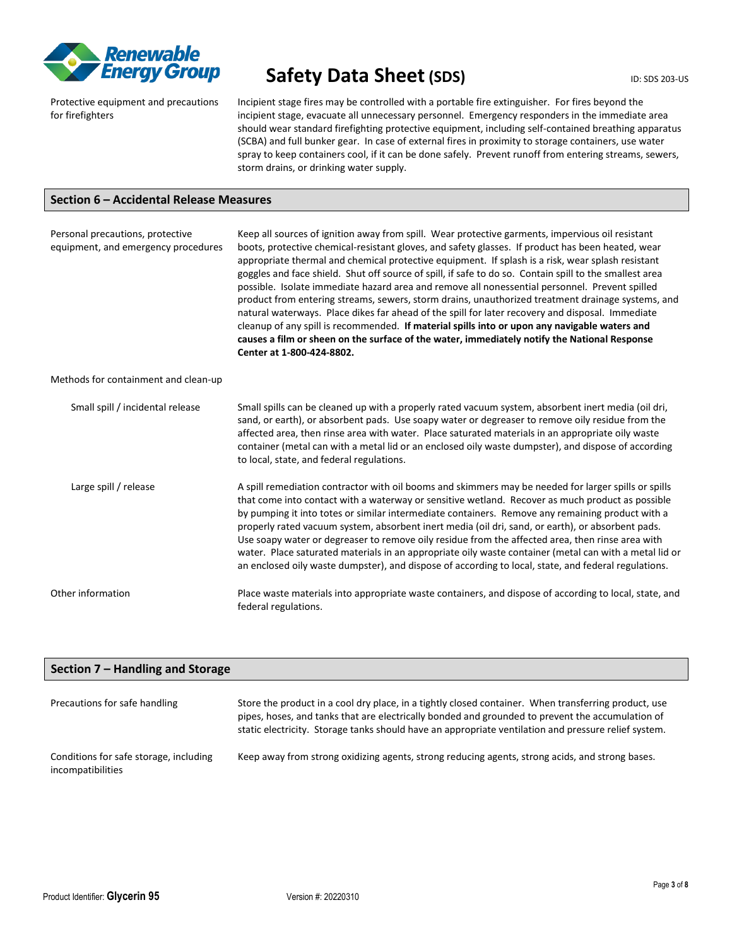

## **Safety Data Sheet (SDS)** ID: SDS 203-US

Protective equipment and precautions for firefighters

Incipient stage fires may be controlled with a portable fire extinguisher. For fires beyond the incipient stage, evacuate all unnecessary personnel. Emergency responders in the immediate area should wear standard firefighting protective equipment, including self-contained breathing apparatus (SCBA) and full bunker gear. In case of external fires in proximity to storage containers, use water spray to keep containers cool, if it can be done safely. Prevent runoff from entering streams, sewers, storm drains, or drinking water supply.

### **Section 6 – Accidental Release Measures**

| Personal precautions, protective<br>equipment, and emergency procedures | Keep all sources of ignition away from spill. Wear protective garments, impervious oil resistant<br>boots, protective chemical-resistant gloves, and safety glasses. If product has been heated, wear<br>appropriate thermal and chemical protective equipment. If splash is a risk, wear splash resistant<br>goggles and face shield. Shut off source of spill, if safe to do so. Contain spill to the smallest area<br>possible. Isolate immediate hazard area and remove all nonessential personnel. Prevent spilled<br>product from entering streams, sewers, storm drains, unauthorized treatment drainage systems, and<br>natural waterways. Place dikes far ahead of the spill for later recovery and disposal. Immediate<br>cleanup of any spill is recommended. If material spills into or upon any navigable waters and<br>causes a film or sheen on the surface of the water, immediately notify the National Response<br>Center at 1-800-424-8802. |
|-------------------------------------------------------------------------|----------------------------------------------------------------------------------------------------------------------------------------------------------------------------------------------------------------------------------------------------------------------------------------------------------------------------------------------------------------------------------------------------------------------------------------------------------------------------------------------------------------------------------------------------------------------------------------------------------------------------------------------------------------------------------------------------------------------------------------------------------------------------------------------------------------------------------------------------------------------------------------------------------------------------------------------------------------|
| Methods for containment and clean-up                                    |                                                                                                                                                                                                                                                                                                                                                                                                                                                                                                                                                                                                                                                                                                                                                                                                                                                                                                                                                                |
| Small spill / incidental release                                        | Small spills can be cleaned up with a properly rated vacuum system, absorbent inert media (oil dri,<br>sand, or earth), or absorbent pads. Use soapy water or degreaser to remove oily residue from the<br>affected area, then rinse area with water. Place saturated materials in an appropriate oily waste<br>container (metal can with a metal lid or an enclosed oily waste dumpster), and dispose of according<br>to local, state, and federal regulations.                                                                                                                                                                                                                                                                                                                                                                                                                                                                                               |
| Large spill / release                                                   | A spill remediation contractor with oil booms and skimmers may be needed for larger spills or spills<br>that come into contact with a waterway or sensitive wetland. Recover as much product as possible<br>by pumping it into totes or similar intermediate containers. Remove any remaining product with a<br>properly rated vacuum system, absorbent inert media (oil dri, sand, or earth), or absorbent pads.<br>Use soapy water or degreaser to remove oily residue from the affected area, then rinse area with<br>water. Place saturated materials in an appropriate oily waste container (metal can with a metal lid or<br>an enclosed oily waste dumpster), and dispose of according to local, state, and federal regulations.                                                                                                                                                                                                                        |
| Other information                                                       | Place waste materials into appropriate waste containers, and dispose of according to local, state, and<br>federal regulations.                                                                                                                                                                                                                                                                                                                                                                                                                                                                                                                                                                                                                                                                                                                                                                                                                                 |

| Section 7 – Handling and Storage                            |                                                                                                                                                                                                                                                                                                                  |  |
|-------------------------------------------------------------|------------------------------------------------------------------------------------------------------------------------------------------------------------------------------------------------------------------------------------------------------------------------------------------------------------------|--|
| Precautions for safe handling                               | Store the product in a cool dry place, in a tightly closed container. When transferring product, use<br>pipes, hoses, and tanks that are electrically bonded and grounded to prevent the accumulation of<br>static electricity. Storage tanks should have an appropriate ventilation and pressure relief system. |  |
| Conditions for safe storage, including<br>incompatibilities | Keep away from strong oxidizing agents, strong reducing agents, strong acids, and strong bases.                                                                                                                                                                                                                  |  |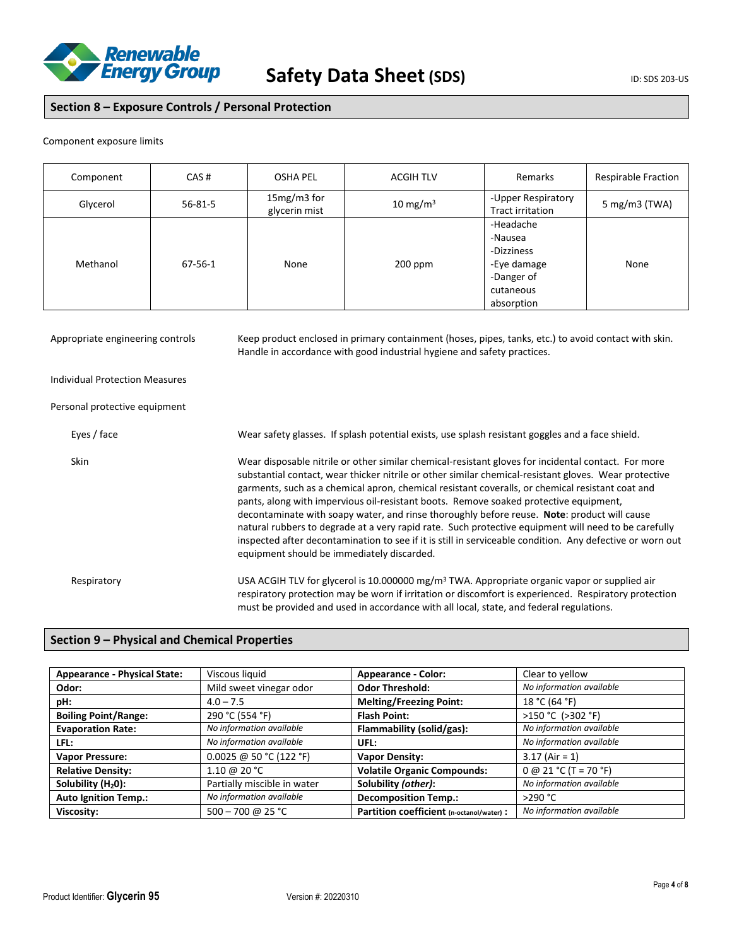

### **Section 8 – Exposure Controls / Personal Protection**

#### Component exposure limits

| Component | CAS#          | OSHA PEL                     | <b>ACGIH TLV</b> | Remarks                                                                                    | <b>Respirable Fraction</b> |
|-----------|---------------|------------------------------|------------------|--------------------------------------------------------------------------------------------|----------------------------|
| Glycerol  | $56 - 81 - 5$ | 15mg/m3 for<br>glycerin mist | 10 mg/m $3$      | -Upper Respiratory<br>Tract irritation                                                     | 5 mg/m3 (TWA)              |
| Methanol  | 67-56-1       | None                         | $200$ ppm        | -Headache<br>-Nausea<br>-Dizziness<br>-Eye damage<br>-Danger of<br>cutaneous<br>absorption | None                       |

Appropriate engineering controls Keep product enclosed in primary containment (hoses, pipes, tanks, etc.) to avoid contact with skin. Handle in accordance with good industrial hygiene and safety practices. Individual Protection Measures Personal protective equipment Eyes / face Wear safety glasses. If splash potential exists, use splash resistant goggles and a face shield. Skin Wear disposable nitrile or other similar chemical-resistant gloves for incidental contact. For more substantial contact, wear thicker nitrile or other similar chemical-resistant gloves. Wear protective garments, such as a chemical apron, chemical resistant coveralls, or chemical resistant coat and pants, along with impervious oil-resistant boots. Remove soaked protective equipment, decontaminate with soapy water, and rinse thoroughly before reuse. **Note**: product will cause natural rubbers to degrade at a very rapid rate. Such protective equipment will need to be carefully inspected after decontamination to see if it is still in serviceable condition. Any defective or worn out equipment should be immediately discarded. Respiratory **Example 20 THS ACGIH TLV for glycerol** is 10.000000 mg/m<sup>3</sup> TWA. Appropriate organic vapor or supplied air respiratory protection may be worn if irritation or discomfort is experienced. Respiratory protection must be provided and used in accordance with all local, state, and federal regulations.

### **Section 9 – Physical and Chemical Properties**

| <b>Appearance - Physical State:</b> | Viscous liquid              | <b>Appearance - Color:</b>                | Clear to yellow          |
|-------------------------------------|-----------------------------|-------------------------------------------|--------------------------|
| Odor:                               | Mild sweet vinegar odor     | <b>Odor Threshold:</b>                    | No information available |
| pH:                                 | $4.0 - 7.5$                 | <b>Melting/Freezing Point:</b>            | 18 °C (64 °F)            |
| <b>Boiling Point/Range:</b>         | 290 °C (554 °F)             | <b>Flash Point:</b>                       | >150 °C (>302 °F)        |
| <b>Evaporation Rate:</b>            | No information available    | Flammability (solid/gas):                 | No information available |
| LFL:                                | No information available    | UFL:                                      | No information available |
| <b>Vapor Pressure:</b>              | 0.0025 @ 50 °C (122 °F)     | <b>Vapor Density:</b>                     | $3.17$ (Air = 1)         |
| <b>Relative Density:</b>            | 1.10 @ 20 °C                | <b>Volatile Organic Compounds:</b>        | $0 @ 21 °C (T = 70 °F)$  |
| Solubility $(H20)$ :                | Partially miscible in water | Solubility (other):                       | No information available |
| <b>Auto Ignition Temp.:</b>         | No information available    | <b>Decomposition Temp.:</b>               | >290 °C                  |
| Viscosity:                          | 500 - 700 @ 25 °C           | Partition coefficient (n-octanol/water) : | No information available |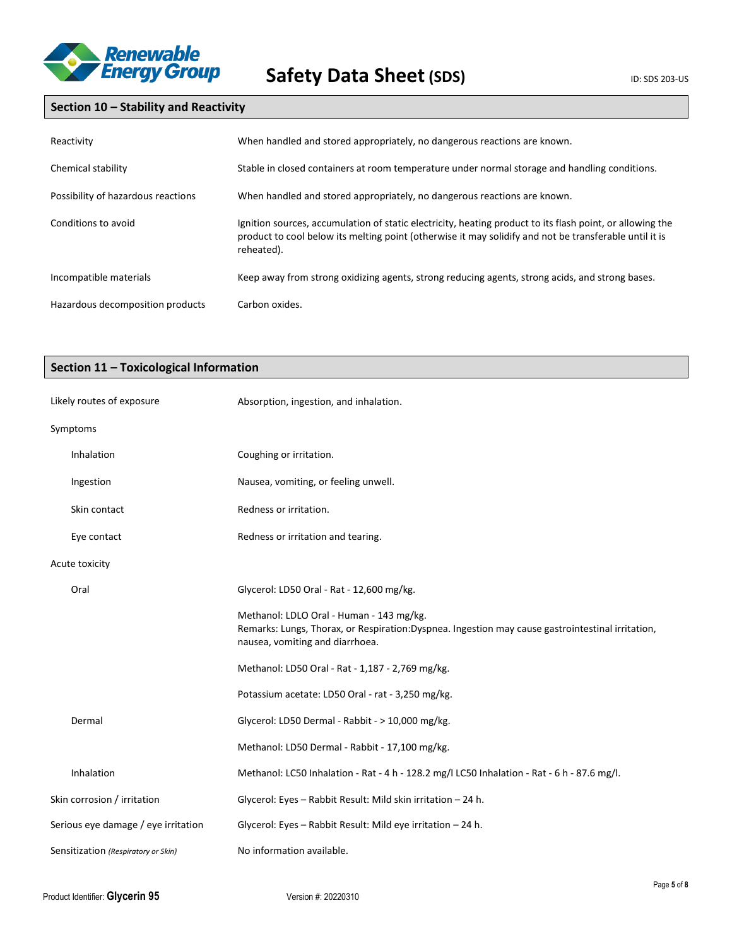

### **Section 10 – Stability and Reactivity**

| Reactivity                         | When handled and stored appropriately, no dangerous reactions are known.                                                                                                                                                          |
|------------------------------------|-----------------------------------------------------------------------------------------------------------------------------------------------------------------------------------------------------------------------------------|
| Chemical stability                 | Stable in closed containers at room temperature under normal storage and handling conditions.                                                                                                                                     |
| Possibility of hazardous reactions | When handled and stored appropriately, no dangerous reactions are known.                                                                                                                                                          |
| Conditions to avoid                | Ignition sources, accumulation of static electricity, heating product to its flash point, or allowing the<br>product to cool below its melting point (otherwise it may solidify and not be transferable until it is<br>reheated). |
| Incompatible materials             | Keep away from strong oxidizing agents, strong reducing agents, strong acids, and strong bases.                                                                                                                                   |
| Hazardous decomposition products   | Carbon oxides.                                                                                                                                                                                                                    |

### **Section 11 – Toxicological Information**

| Likely routes of exposure           | Absorption, ingestion, and inhalation.                                                                                                                                          |
|-------------------------------------|---------------------------------------------------------------------------------------------------------------------------------------------------------------------------------|
| Symptoms                            |                                                                                                                                                                                 |
| <b>Inhalation</b>                   | Coughing or irritation.                                                                                                                                                         |
| Ingestion                           | Nausea, vomiting, or feeling unwell.                                                                                                                                            |
| Skin contact                        | Redness or irritation.                                                                                                                                                          |
| Eye contact                         | Redness or irritation and tearing.                                                                                                                                              |
| Acute toxicity                      |                                                                                                                                                                                 |
| Oral                                | Glycerol: LD50 Oral - Rat - 12,600 mg/kg.                                                                                                                                       |
|                                     | Methanol: LDLO Oral - Human - 143 mg/kg.<br>Remarks: Lungs, Thorax, or Respiration:Dyspnea. Ingestion may cause gastrointestinal irritation,<br>nausea, vomiting and diarrhoea. |
|                                     | Methanol: LD50 Oral - Rat - 1,187 - 2,769 mg/kg.                                                                                                                                |
|                                     | Potassium acetate: LD50 Oral - rat - 3,250 mg/kg.                                                                                                                               |
| Dermal                              | Glycerol: LD50 Dermal - Rabbit - > 10,000 mg/kg.                                                                                                                                |
|                                     | Methanol: LD50 Dermal - Rabbit - 17,100 mg/kg.                                                                                                                                  |
| Inhalation                          | Methanol: LC50 Inhalation - Rat - 4 h - 128.2 mg/l LC50 Inhalation - Rat - 6 h - 87.6 mg/l.                                                                                     |
| Skin corrosion / irritation         | Glycerol: Eyes - Rabbit Result: Mild skin irritation - 24 h.                                                                                                                    |
| Serious eye damage / eye irritation | Glycerol: Eyes - Rabbit Result: Mild eye irritation - 24 h.                                                                                                                     |
| Sensitization (Respiratory or Skin) | No information available.                                                                                                                                                       |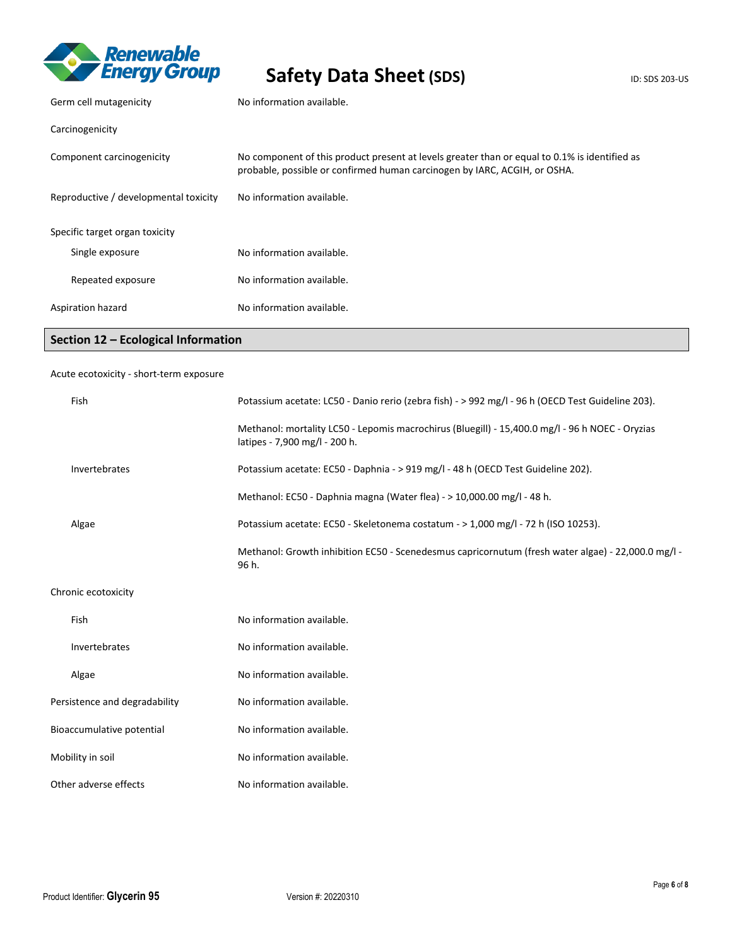

# Safety Data Sheet (SDS) **ID: SDS 203-US**

| Germ cell mutagenicity                | No information available.                                                                                                                                                  |
|---------------------------------------|----------------------------------------------------------------------------------------------------------------------------------------------------------------------------|
| Carcinogenicity                       |                                                                                                                                                                            |
| Component carcinogenicity             | No component of this product present at levels greater than or equal to 0.1% is identified as<br>probable, possible or confirmed human carcinogen by IARC, ACGIH, or OSHA. |
| Reproductive / developmental toxicity | No information available.                                                                                                                                                  |
| Specific target organ toxicity        |                                                                                                                                                                            |
| Single exposure                       | No information available.                                                                                                                                                  |
| Repeated exposure                     | No information available.                                                                                                                                                  |
| Aspiration hazard                     | No information available.                                                                                                                                                  |

### **Section 12 – Ecological Information**

### Acute ecotoxicity - short-term exposure

| Fish                  |                               | Potassium acetate: LC50 - Danio rerio (zebra fish) - > 992 mg/l - 96 h (OECD Test Guideline 203).                                |  |
|-----------------------|-------------------------------|----------------------------------------------------------------------------------------------------------------------------------|--|
|                       |                               | Methanol: mortality LC50 - Lepomis macrochirus (Bluegill) - 15,400.0 mg/l - 96 h NOEC - Oryzias<br>latipes - 7,900 mg/l - 200 h. |  |
|                       | Invertebrates                 | Potassium acetate: EC50 - Daphnia - > 919 mg/l - 48 h (OECD Test Guideline 202).                                                 |  |
|                       |                               | Methanol: EC50 - Daphnia magna (Water flea) - > 10,000.00 mg/l - 48 h.                                                           |  |
|                       | Algae                         | Potassium acetate: EC50 - Skeletonema costatum - > 1,000 mg/l - 72 h (ISO 10253).                                                |  |
|                       |                               | Methanol: Growth inhibition EC50 - Scenedesmus capricornutum (fresh water algae) - 22,000.0 mg/l -<br>96 h.                      |  |
| Chronic ecotoxicity   |                               |                                                                                                                                  |  |
|                       | Fish                          | No information available.                                                                                                        |  |
|                       | Invertebrates                 | No information available.                                                                                                        |  |
|                       | Algae                         | No information available.                                                                                                        |  |
|                       | Persistence and degradability | No information available.                                                                                                        |  |
|                       | Bioaccumulative potential     | No information available.                                                                                                        |  |
| Mobility in soil      |                               | No information available.                                                                                                        |  |
| Other adverse effects |                               | No information available.                                                                                                        |  |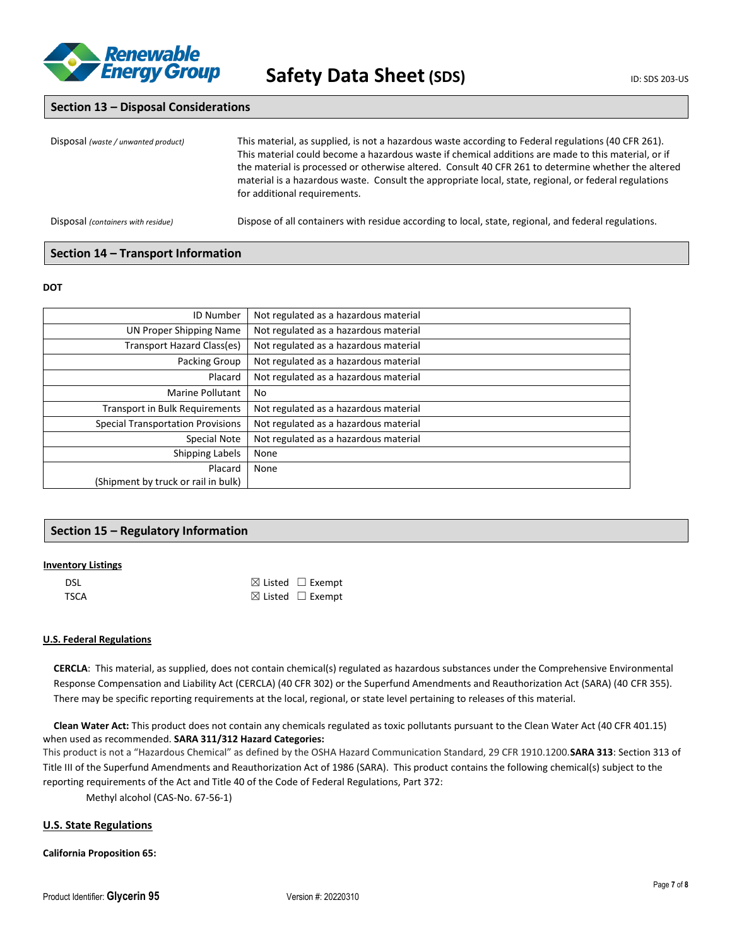

### **Section 13 – Disposal Considerations**

| Disposal (waste / unwanted product) | This material, as supplied, is not a hazardous waste according to Federal regulations (40 CFR 261).<br>This material could become a hazardous waste if chemical additions are made to this material, or if<br>the material is processed or otherwise altered. Consult 40 CFR 261 to determine whether the altered<br>material is a hazardous waste. Consult the appropriate local, state, regional, or federal regulations<br>for additional requirements. |
|-------------------------------------|------------------------------------------------------------------------------------------------------------------------------------------------------------------------------------------------------------------------------------------------------------------------------------------------------------------------------------------------------------------------------------------------------------------------------------------------------------|
| Disposal (containers with residue)  | Dispose of all containers with residue according to local, state, regional, and federal regulations.                                                                                                                                                                                                                                                                                                                                                       |

### **Section 14 – Transport Information**

#### **DOT**

| <b>ID Number</b>                         | Not regulated as a hazardous material |
|------------------------------------------|---------------------------------------|
| <b>UN Proper Shipping Name</b>           | Not regulated as a hazardous material |
| Transport Hazard Class(es)               | Not regulated as a hazardous material |
| Packing Group                            | Not regulated as a hazardous material |
| Placard                                  | Not regulated as a hazardous material |
| Marine Pollutant                         | No                                    |
| <b>Transport in Bulk Requirements</b>    | Not regulated as a hazardous material |
| <b>Special Transportation Provisions</b> | Not regulated as a hazardous material |
| <b>Special Note</b>                      | Not regulated as a hazardous material |
| Shipping Labels                          | None                                  |
| Placard                                  | None                                  |
| (Shipment by truck or rail in bulk)      |                                       |

### **Section 15 – Regulatory Information**

### **Inventory Listings**

| <b>DSL</b> | $\boxtimes$ Listed $\Box$ Exempt |
|------------|----------------------------------|
| TSCA       | $\boxtimes$ Listed $\Box$ Exempt |

### **U.S. Federal Regulations**

**CERCLA**: This material, as supplied, does not contain chemical(s) regulated as hazardous substances under the Comprehensive Environmental Response Compensation and Liability Act (CERCLA) (40 CFR 302) or the Superfund Amendments and Reauthorization Act (SARA) (40 CFR 355). There may be specific reporting requirements at the local, regional, or state level pertaining to releases of this material.

**Clean Water Act:** This product does not contain any chemicals regulated as toxic pollutants pursuant to the Clean Water Act (40 CFR 401.15) when used as recommended. **SARA 311/312 Hazard Categories:**

This product is not a "Hazardous Chemical" as defined by the OSHA Hazard Communication Standard, 29 CFR 1910.1200.**SARA 313**: Section 313 of Title III of the Superfund Amendments and Reauthorization Act of 1986 (SARA). This product contains the following chemical(s) subject to the reporting requirements of the Act and Title 40 of the Code of Federal Regulations, Part 372:

Methyl alcohol (CAS-No. 67-56-1)

### **U.S. State Regulations**

### **California Proposition 65:**